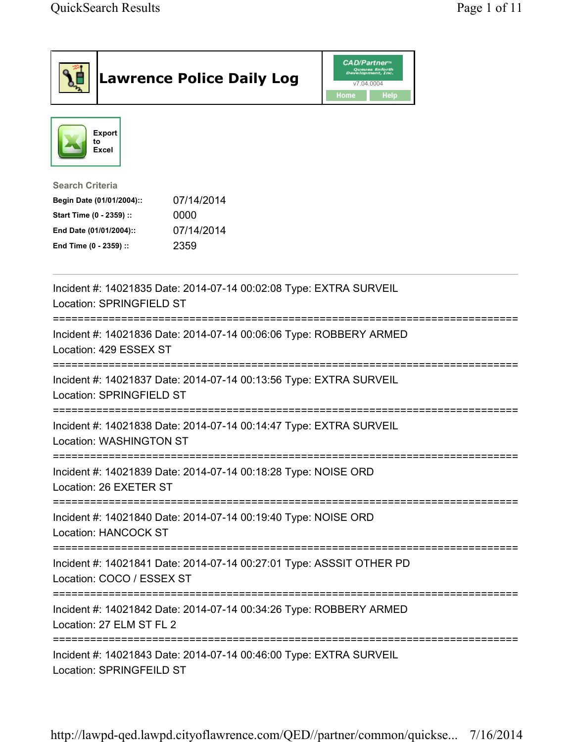|                                                                                                                                      | <b>Lawrence Police Daily Log</b>                                     | <b>CAD/Partner</b> "<br>Queues Enforth<br>Development, Inc.<br>v7.04.0004<br>Home<br>Help |  |
|--------------------------------------------------------------------------------------------------------------------------------------|----------------------------------------------------------------------|-------------------------------------------------------------------------------------------|--|
| <b>Export</b><br>to<br>Excel                                                                                                         |                                                                      |                                                                                           |  |
| <b>Search Criteria</b><br>Begin Date (01/01/2004)::<br>Start Time (0 - 2359) ::<br>End Date (01/01/2004)::<br>End Time (0 - 2359) :: | 07/14/2014<br>0000<br>07/14/2014<br>2359                             |                                                                                           |  |
| Location: SPRINGFIELD ST                                                                                                             | Incident #: 14021835 Date: 2014-07-14 00:02:08 Type: EXTRA SURVEIL   |                                                                                           |  |
| Location: 429 ESSEX ST                                                                                                               | Incident #: 14021836 Date: 2014-07-14 00:06:06 Type: ROBBERY ARMED   |                                                                                           |  |
| Location: SPRINGFIELD ST                                                                                                             | Incident #: 14021837 Date: 2014-07-14 00:13:56 Type: EXTRA SURVEIL   |                                                                                           |  |
| <b>Location: WASHINGTON ST</b>                                                                                                       | Incident #: 14021838 Date: 2014-07-14 00:14:47 Type: EXTRA SURVEIL   |                                                                                           |  |
| Location: 26 EXETER ST                                                                                                               | Incident #: 14021839 Date: 2014-07-14 00:18:28 Type: NOISE ORD       |                                                                                           |  |
| Location: HANCOCK ST                                                                                                                 | Incident #: 14021840 Date: 2014-07-14 00:19:40 Type: NOISE ORD       |                                                                                           |  |
| Location: COCO / ESSEX ST                                                                                                            | Incident #: 14021841 Date: 2014-07-14 00:27:01 Type: ASSSIT OTHER PD |                                                                                           |  |
| Location: 27 ELM ST FL 2                                                                                                             | Incident #: 14021842 Date: 2014-07-14 00:34:26 Type: ROBBERY ARMED   |                                                                                           |  |
| Location: SPRINGFEILD ST                                                                                                             | Incident #: 14021843 Date: 2014-07-14 00:46:00 Type: EXTRA SURVEIL   |                                                                                           |  |

http://lawpd-qed.lawpd.cityoflawrence.com/QED//partner/common/quickse... 7/16/2014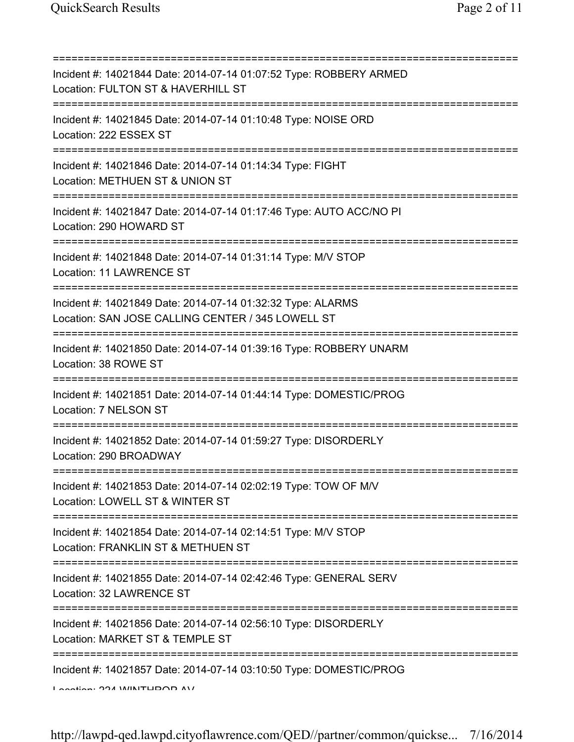| Incident #: 14021844 Date: 2014-07-14 01:07:52 Type: ROBBERY ARMED<br>Location: FULTON ST & HAVERHILL ST                                   |
|--------------------------------------------------------------------------------------------------------------------------------------------|
| Incident #: 14021845 Date: 2014-07-14 01:10:48 Type: NOISE ORD<br>Location: 222 ESSEX ST<br>===============================                |
| Incident #: 14021846 Date: 2014-07-14 01:14:34 Type: FIGHT<br>Location: METHUEN ST & UNION ST                                              |
| Incident #: 14021847 Date: 2014-07-14 01:17:46 Type: AUTO ACC/NO PI<br>Location: 290 HOWARD ST                                             |
| Incident #: 14021848 Date: 2014-07-14 01:31:14 Type: M/V STOP<br>Location: 11 LAWRENCE ST                                                  |
| Incident #: 14021849 Date: 2014-07-14 01:32:32 Type: ALARMS<br>Location: SAN JOSE CALLING CENTER / 345 LOWELL ST                           |
| Incident #: 14021850 Date: 2014-07-14 01:39:16 Type: ROBBERY UNARM<br>Location: 38 ROWE ST<br>================================             |
| Incident #: 14021851 Date: 2014-07-14 01:44:14 Type: DOMESTIC/PROG<br>Location: 7 NELSON ST                                                |
| Incident #: 14021852 Date: 2014-07-14 01:59:27 Type: DISORDERLY<br>Location: 290 BROADWAY                                                  |
| Incident #: 14021853 Date: 2014-07-14 02:02:19 Type: TOW OF M/V<br>Location: LOWELL ST & WINTER ST                                         |
| Incident #: 14021854 Date: 2014-07-14 02:14:51 Type: M/V STOP<br>Location: FRANKLIN ST & METHUEN ST                                        |
| Incident #: 14021855 Date: 2014-07-14 02:42:46 Type: GENERAL SERV<br>Location: 32 LAWRENCE ST                                              |
| ====================================<br>Incident #: 14021856 Date: 2014-07-14 02:56:10 Type: DISORDERLY<br>Location: MARKET ST & TEMPLE ST |
| Incident #: 14021857 Date: 2014-07-14 03:10:50 Type: DOMESTIC/PROG<br>$A \sim A$                                                           |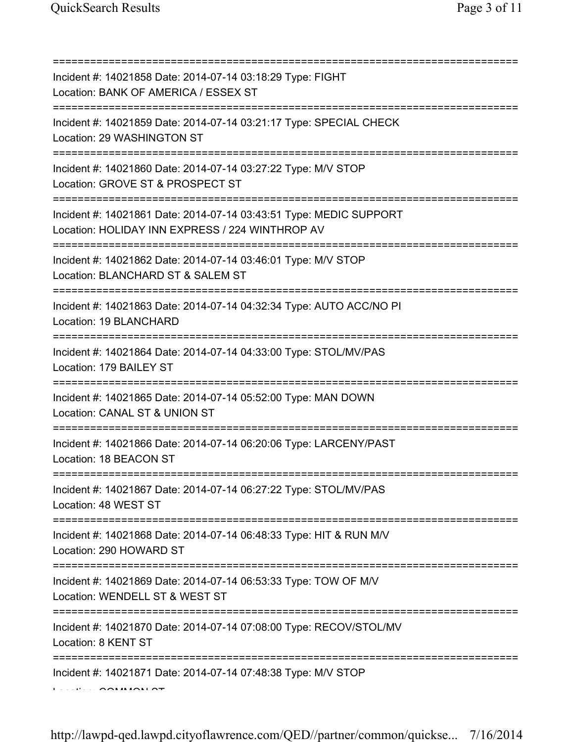=========================================================================== Incident #: 14021858 Date: 2014-07-14 03:18:29 Type: FIGHT Location: BANK OF AMERICA / ESSEX ST =========================================================================== Incident #: 14021859 Date: 2014-07-14 03:21:17 Type: SPECIAL CHECK Location: 29 WASHINGTON ST =========================================================================== Incident #: 14021860 Date: 2014-07-14 03:27:22 Type: M/V STOP Location: GROVE ST & PROSPECT ST =========================================================================== Incident #: 14021861 Date: 2014-07-14 03:43:51 Type: MEDIC SUPPORT Location: HOLIDAY INN EXPRESS / 224 WINTHROP AV =========================================================================== Incident #: 14021862 Date: 2014-07-14 03:46:01 Type: M/V STOP Location: BLANCHARD ST & SALEM ST =========================================================================== Incident #: 14021863 Date: 2014-07-14 04:32:34 Type: AUTO ACC/NO PI Location: 19 BLANCHARD =========================================================================== Incident #: 14021864 Date: 2014-07-14 04:33:00 Type: STOL/MV/PAS Location: 179 BAILEY ST =========================================================================== Incident #: 14021865 Date: 2014-07-14 05:52:00 Type: MAN DOWN Location: CANAL ST & UNION ST =========================================================================== Incident #: 14021866 Date: 2014-07-14 06:20:06 Type: LARCENY/PAST Location: 18 BEACON ST =========================================================================== Incident #: 14021867 Date: 2014-07-14 06:27:22 Type: STOL/MV/PAS Location: 48 WEST ST =========================================================================== Incident #: 14021868 Date: 2014-07-14 06:48:33 Type: HIT & RUN M/V Location: 290 HOWARD ST =========================================================================== Incident #: 14021869 Date: 2014-07-14 06:53:33 Type: TOW OF M/V Location: WENDELL ST & WEST ST =========================================================================== Incident #: 14021870 Date: 2014-07-14 07:08:00 Type: RECOV/STOL/MV Location: 8 KENT ST =========================================================================== Incident #: 14021871 Date: 2014-07-14 07:48:38 Type: M/V STOP Location: COMMON ST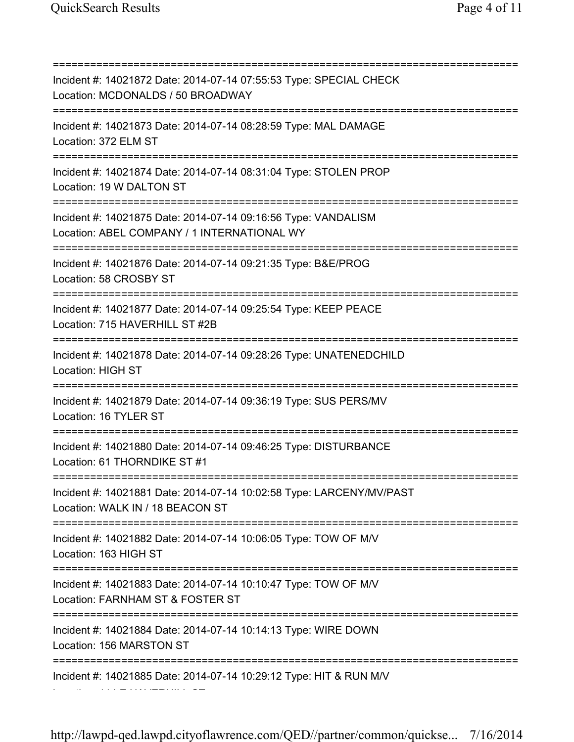Location: 114 E HAVERHILL ST

=========================================================================== Incident #: 14021872 Date: 2014-07-14 07:55:53 Type: SPECIAL CHECK Location: MCDONALDS / 50 BROADWAY =========================================================================== Incident #: 14021873 Date: 2014-07-14 08:28:59 Type: MAL DAMAGE Location: 372 ELM ST =========================================================================== Incident #: 14021874 Date: 2014-07-14 08:31:04 Type: STOLEN PROP Location: 19 W DALTON ST =========================================================================== Incident #: 14021875 Date: 2014-07-14 09:16:56 Type: VANDALISM Location: ABEL COMPANY / 1 INTERNATIONAL WY =========================================================================== Incident #: 14021876 Date: 2014-07-14 09:21:35 Type: B&E/PROG Location: 58 CROSBY ST =========================================================================== Incident #: 14021877 Date: 2014-07-14 09:25:54 Type: KEEP PEACE Location: 715 HAVERHILL ST #2B =========================================================================== Incident #: 14021878 Date: 2014-07-14 09:28:26 Type: UNATENEDCHILD Location: HIGH ST =========================================================================== Incident #: 14021879 Date: 2014-07-14 09:36:19 Type: SUS PERS/MV Location: 16 TYLER ST =========================================================================== Incident #: 14021880 Date: 2014-07-14 09:46:25 Type: DISTURBANCE Location: 61 THORNDIKE ST #1 =========================================================================== Incident #: 14021881 Date: 2014-07-14 10:02:58 Type: LARCENY/MV/PAST Location: WALK IN / 18 BEACON ST =========================================================================== Incident #: 14021882 Date: 2014-07-14 10:06:05 Type: TOW OF M/V Location: 163 HIGH ST =========================================================================== Incident #: 14021883 Date: 2014-07-14 10:10:47 Type: TOW OF M/V Location: FARNHAM ST & FOSTER ST =========================================================================== Incident #: 14021884 Date: 2014-07-14 10:14:13 Type: WIRE DOWN Location: 156 MARSTON ST =========================================================================== Incident #: 14021885 Date: 2014-07-14 10:29:12 Type: HIT & RUN M/V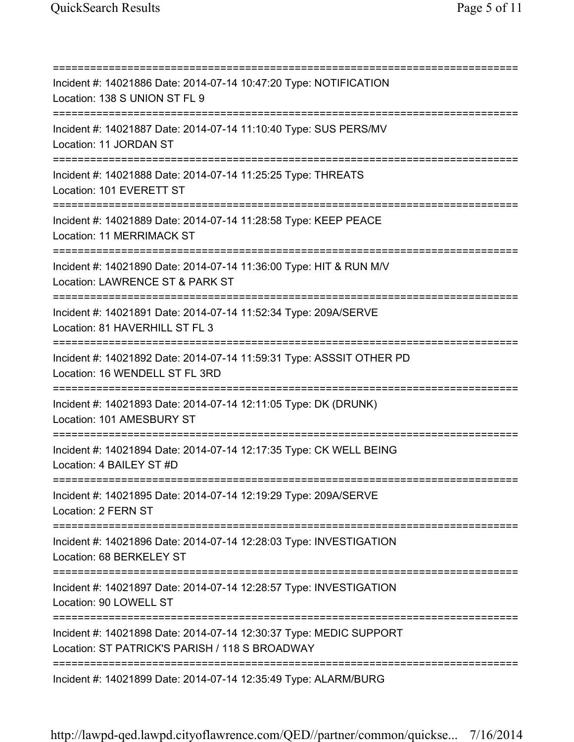=========================================================================== Incident #: 14021886 Date: 2014-07-14 10:47:20 Type: NOTIFICATION Location: 138 S UNION ST FL 9 =========================================================================== Incident #: 14021887 Date: 2014-07-14 11:10:40 Type: SUS PERS/MV Location: 11 JORDAN ST =========================================================================== Incident #: 14021888 Date: 2014-07-14 11:25:25 Type: THREATS Location: 101 EVERETT ST =========================================================================== Incident #: 14021889 Date: 2014-07-14 11:28:58 Type: KEEP PEACE Location: 11 MERRIMACK ST =========================================================================== Incident #: 14021890 Date: 2014-07-14 11:36:00 Type: HIT & RUN M/V Location: LAWRENCE ST & PARK ST =========================================================================== Incident #: 14021891 Date: 2014-07-14 11:52:34 Type: 209A/SERVE Location: 81 HAVERHILL ST FL 3 =========================================================================== Incident #: 14021892 Date: 2014-07-14 11:59:31 Type: ASSSIT OTHER PD Location: 16 WENDELL ST FL 3RD =========================================================================== Incident #: 14021893 Date: 2014-07-14 12:11:05 Type: DK (DRUNK) Location: 101 AMESBURY ST =========================================================================== Incident #: 14021894 Date: 2014-07-14 12:17:35 Type: CK WELL BEING Location: 4 BAILEY ST #D =========================================================================== Incident #: 14021895 Date: 2014-07-14 12:19:29 Type: 209A/SERVE Location: 2 FERN ST =========================================================================== Incident #: 14021896 Date: 2014-07-14 12:28:03 Type: INVESTIGATION Location: 68 BERKELEY ST =========================================================================== Incident #: 14021897 Date: 2014-07-14 12:28:57 Type: INVESTIGATION Location: 90 LOWELL ST =========================================================================== Incident #: 14021898 Date: 2014-07-14 12:30:37 Type: MEDIC SUPPORT Location: ST PATRICK'S PARISH / 118 S BROADWAY =========================================================================== Incident #: 14021899 Date: 2014-07-14 12:35:49 Type: ALARM/BURG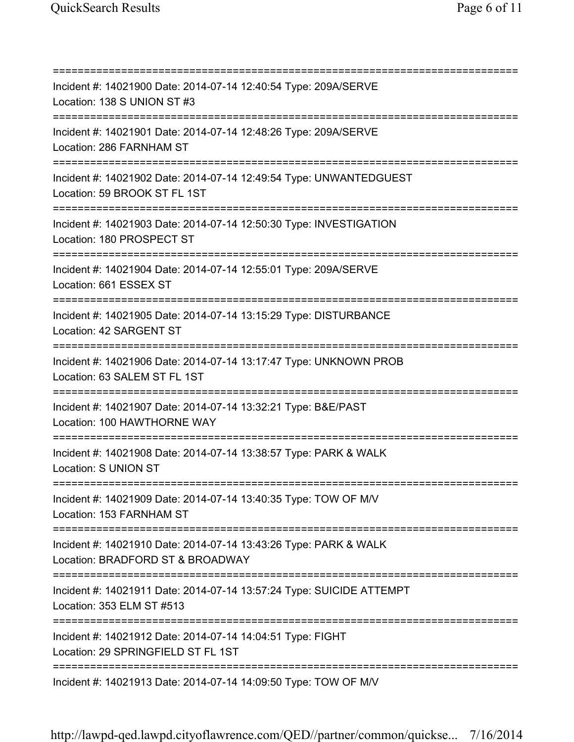=========================================================================== Incident #: 14021900 Date: 2014-07-14 12:40:54 Type: 209A/SERVE Location: 138 S UNION ST #3 =========================================================================== Incident #: 14021901 Date: 2014-07-14 12:48:26 Type: 209A/SERVE Location: 286 FARNHAM ST =========================================================================== Incident #: 14021902 Date: 2014-07-14 12:49:54 Type: UNWANTEDGUEST Location: 59 BROOK ST FL 1ST =========================================================================== Incident #: 14021903 Date: 2014-07-14 12:50:30 Type: INVESTIGATION Location: 180 PROSPECT ST =========================================================================== Incident #: 14021904 Date: 2014-07-14 12:55:01 Type: 209A/SERVE Location: 661 ESSEX ST =========================================================================== Incident #: 14021905 Date: 2014-07-14 13:15:29 Type: DISTURBANCE Location: 42 SARGENT ST =========================================================================== Incident #: 14021906 Date: 2014-07-14 13:17:47 Type: UNKNOWN PROB Location: 63 SALEM ST FL 1ST =========================================================================== Incident #: 14021907 Date: 2014-07-14 13:32:21 Type: B&E/PAST Location: 100 HAWTHORNE WAY =========================================================================== Incident #: 14021908 Date: 2014-07-14 13:38:57 Type: PARK & WALK Location: S UNION ST =========================================================================== Incident #: 14021909 Date: 2014-07-14 13:40:35 Type: TOW OF M/V Location: 153 FARNHAM ST =========================================================================== Incident #: 14021910 Date: 2014-07-14 13:43:26 Type: PARK & WALK Location: BRADFORD ST & BROADWAY =========================================================================== Incident #: 14021911 Date: 2014-07-14 13:57:24 Type: SUICIDE ATTEMPT Location: 353 ELM ST #513 =========================================================================== Incident #: 14021912 Date: 2014-07-14 14:04:51 Type: FIGHT Location: 29 SPRINGFIELD ST FL 1ST =========================================================================== Incident #: 14021913 Date: 2014-07-14 14:09:50 Type: TOW OF M/V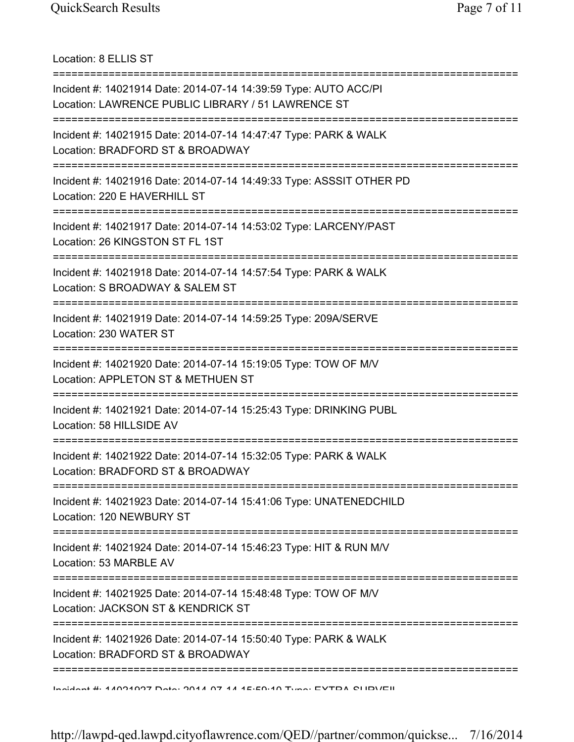Location: 8 ELLIS ST =========================================================================== Incident #: 14021914 Date: 2014-07-14 14:39:59 Type: AUTO ACC/PI Location: LAWRENCE PUBLIC LIBRARY / 51 LAWRENCE ST =========================================================================== Incident #: 14021915 Date: 2014-07-14 14:47:47 Type: PARK & WALK Location: BRADFORD ST & BROADWAY =========================================================================== Incident #: 14021916 Date: 2014-07-14 14:49:33 Type: ASSSIT OTHER PD Location: 220 E HAVERHILL ST =========================================================================== Incident #: 14021917 Date: 2014-07-14 14:53:02 Type: LARCENY/PAST Location: 26 KINGSTON ST FL 1ST =========================================================================== Incident #: 14021918 Date: 2014-07-14 14:57:54 Type: PARK & WALK Location: S BROADWAY & SALEM ST =========================================================================== Incident #: 14021919 Date: 2014-07-14 14:59:25 Type: 209A/SERVE Location: 230 WATER ST =========================================================================== Incident #: 14021920 Date: 2014-07-14 15:19:05 Type: TOW OF M/V Location: APPLETON ST & METHUEN ST =========================================================================== Incident #: 14021921 Date: 2014-07-14 15:25:43 Type: DRINKING PUBL Location: 58 HILLSIDE AV =========================================================================== Incident #: 14021922 Date: 2014-07-14 15:32:05 Type: PARK & WALK Location: BRADFORD ST & BROADWAY =========================================================================== Incident #: 14021923 Date: 2014-07-14 15:41:06 Type: UNATENEDCHILD Location: 120 NEWBURY ST =========================================================================== Incident #: 14021924 Date: 2014-07-14 15:46:23 Type: HIT & RUN M/V Location: 53 MARBLE AV =========================================================================== Incident #: 14021925 Date: 2014-07-14 15:48:48 Type: TOW OF M/V Location: JACKSON ST & KENDRICK ST =========================================================================== Incident #: 14021926 Date: 2014-07-14 15:50:40 Type: PARK & WALK Location: BRADFORD ST & BROADWAY =========================================================================== Incident #: 14021927 Date: 2014 07 14 15:59:10 Type: EXTRA SURVEIL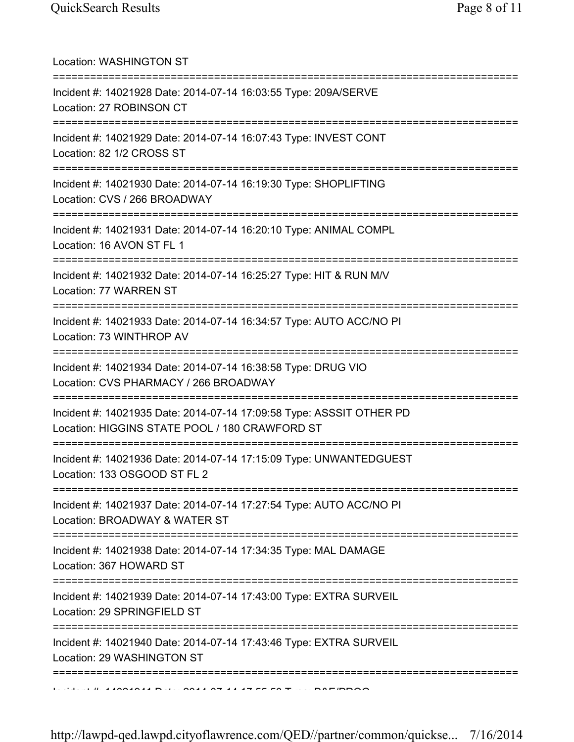| Location: WASHINGTON ST<br>====================================                                                                            |
|--------------------------------------------------------------------------------------------------------------------------------------------|
| Incident #: 14021928 Date: 2014-07-14 16:03:55 Type: 209A/SERVE<br>Location: 27 ROBINSON CT                                                |
| Incident #: 14021929 Date: 2014-07-14 16:07:43 Type: INVEST CONT<br>Location: 82 1/2 CROSS ST<br>====================================      |
| Incident #: 14021930 Date: 2014-07-14 16:19:30 Type: SHOPLIFTING<br>Location: CVS / 266 BROADWAY                                           |
| Incident #: 14021931 Date: 2014-07-14 16:20:10 Type: ANIMAL COMPL<br>Location: 16 AVON ST FL 1                                             |
| ====================================<br>Incident #: 14021932 Date: 2014-07-14 16:25:27 Type: HIT & RUN M/V<br>Location: 77 WARREN ST       |
| Incident #: 14021933 Date: 2014-07-14 16:34:57 Type: AUTO ACC/NO PI<br>Location: 73 WINTHROP AV                                            |
| Incident #: 14021934 Date: 2014-07-14 16:38:58 Type: DRUG VIO<br>Location: CVS PHARMACY / 266 BROADWAY<br>================================ |
| Incident #: 14021935 Date: 2014-07-14 17:09:58 Type: ASSSIT OTHER PD<br>Location: HIGGINS STATE POOL / 180 CRAWFORD ST                     |
| Incident #: 14021936 Date: 2014-07-14 17:15:09 Type: UNWANTEDGUEST<br>Location: 133 OSGOOD ST FL 2                                         |
| Incident #: 14021937 Date: 2014-07-14 17:27:54 Type: AUTO ACC/NO PI<br>Location: BROADWAY & WATER ST                                       |
| Incident #: 14021938 Date: 2014-07-14 17:34:35 Type: MAL DAMAGE<br>Location: 367 HOWARD ST                                                 |
| Incident #: 14021939 Date: 2014-07-14 17:43:00 Type: EXTRA SURVEIL<br>Location: 29 SPRINGFIELD ST                                          |
| Incident #: 14021940 Date: 2014-07-14 17:43:46 Type: EXTRA SURVEIL<br>Location: 29 WASHINGTON ST                                           |
| ==============================                                                                                                             |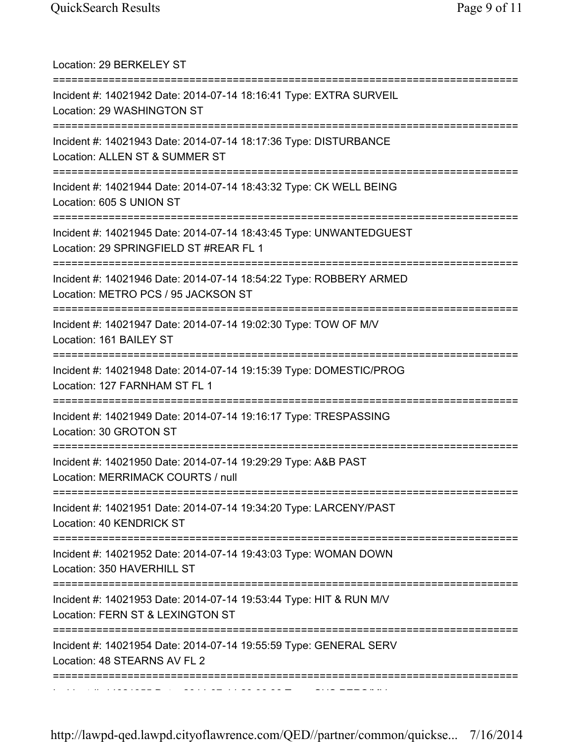| Location: 29 BERKELEY ST                                                                                                                         |
|--------------------------------------------------------------------------------------------------------------------------------------------------|
| Incident #: 14021942 Date: 2014-07-14 18:16:41 Type: EXTRA SURVEIL<br>Location: 29 WASHINGTON ST                                                 |
| Incident #: 14021943 Date: 2014-07-14 18:17:36 Type: DISTURBANCE<br>Location: ALLEN ST & SUMMER ST                                               |
| Incident #: 14021944 Date: 2014-07-14 18:43:32 Type: CK WELL BEING<br>Location: 605 S UNION ST                                                   |
| Incident #: 14021945 Date: 2014-07-14 18:43:45 Type: UNWANTEDGUEST<br>Location: 29 SPRINGFIELD ST #REAR FL 1<br>================================ |
| Incident #: 14021946 Date: 2014-07-14 18:54:22 Type: ROBBERY ARMED<br>Location: METRO PCS / 95 JACKSON ST                                        |
| Incident #: 14021947 Date: 2014-07-14 19:02:30 Type: TOW OF M/V<br>Location: 161 BAILEY ST                                                       |
| Incident #: 14021948 Date: 2014-07-14 19:15:39 Type: DOMESTIC/PROG<br>Location: 127 FARNHAM ST FL 1                                              |
| Incident #: 14021949 Date: 2014-07-14 19:16:17 Type: TRESPASSING<br>Location: 30 GROTON ST                                                       |
| Incident #: 14021950 Date: 2014-07-14 19:29:29 Type: A&B PAST<br>Location: MERRIMACK COURTS / null                                               |
| Incident #: 14021951 Date: 2014-07-14 19:34:20 Type: LARCENY/PAST<br>Location: 40 KENDRICK ST                                                    |
| Incident #: 14021952 Date: 2014-07-14 19:43:03 Type: WOMAN DOWN<br>Location: 350 HAVERHILL ST                                                    |
| Incident #: 14021953 Date: 2014-07-14 19:53:44 Type: HIT & RUN M/V<br>Location: FERN ST & LEXINGTON ST                                           |
| Incident #: 14021954 Date: 2014-07-14 19:55:59 Type: GENERAL SERV<br>Location: 48 STEARNS AV FL 2                                                |
|                                                                                                                                                  |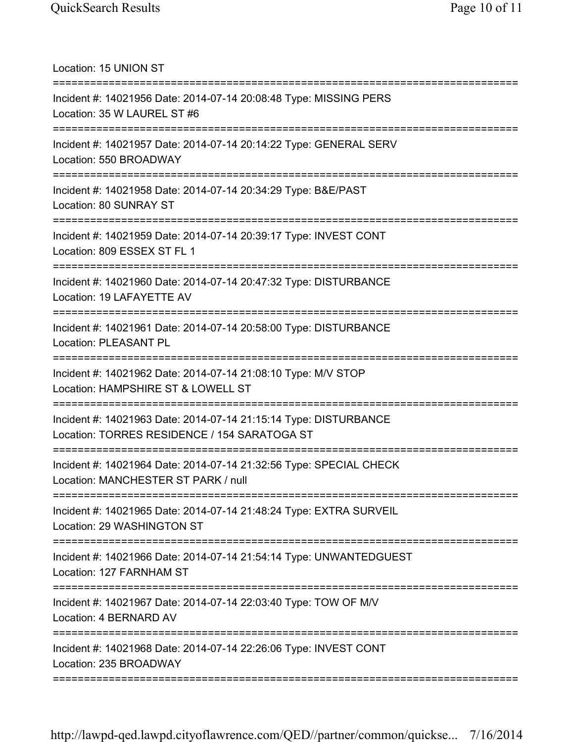Location: 15 UNION ST =========================================================================== Incident #: 14021956 Date: 2014-07-14 20:08:48 Type: MISSING PERS Location: 35 W LAUREL ST #6 =========================================================================== Incident #: 14021957 Date: 2014-07-14 20:14:22 Type: GENERAL SERV Location: 550 BROADWAY =========================================================================== Incident #: 14021958 Date: 2014-07-14 20:34:29 Type: B&E/PAST Location: 80 SUNRAY ST =========================================================================== Incident #: 14021959 Date: 2014-07-14 20:39:17 Type: INVEST CONT Location: 809 ESSEX ST FL 1 =========================================================================== Incident #: 14021960 Date: 2014-07-14 20:47:32 Type: DISTURBANCE Location: 19 LAFAYETTE AV =========================================================================== Incident #: 14021961 Date: 2014-07-14 20:58:00 Type: DISTURBANCE Location: PLEASANT PL =========================================================================== Incident #: 14021962 Date: 2014-07-14 21:08:10 Type: M/V STOP Location: HAMPSHIRE ST & LOWELL ST =========================================================================== Incident #: 14021963 Date: 2014-07-14 21:15:14 Type: DISTURBANCE Location: TORRES RESIDENCE / 154 SARATOGA ST =========================================================================== Incident #: 14021964 Date: 2014-07-14 21:32:56 Type: SPECIAL CHECK Location: MANCHESTER ST PARK / null =========================================================================== Incident #: 14021965 Date: 2014-07-14 21:48:24 Type: EXTRA SURVEIL Location: 29 WASHINGTON ST =========================================================================== Incident #: 14021966 Date: 2014-07-14 21:54:14 Type: UNWANTEDGUEST Location: 127 FARNHAM ST =========================================================================== Incident #: 14021967 Date: 2014-07-14 22:03:40 Type: TOW OF M/V Location: 4 BERNARD AV =========================================================================== Incident #: 14021968 Date: 2014-07-14 22:26:06 Type: INVEST CONT Location: 235 BROADWAY ===========================================================================